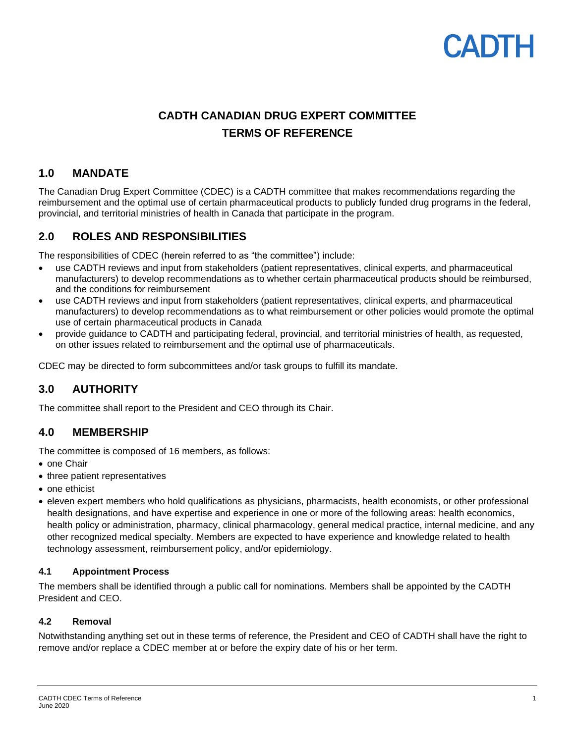# CADIH

# **CADTH CANADIAN DRUG EXPERT COMMITTEE TERMS OF REFERENCE**

# **1.0 MANDATE**

The Canadian Drug Expert Committee (CDEC) is a CADTH committee that makes recommendations regarding the reimbursement and the optimal use of certain pharmaceutical products to publicly funded drug programs in the federal, provincial, and territorial ministries of health in Canada that participate in the program.

# **2.0 ROLES AND RESPONSIBILITIES**

The responsibilities of CDEC (herein referred to as "the committee") include:

- use CADTH reviews and input from stakeholders (patient representatives, clinical experts, and pharmaceutical manufacturers) to develop recommendations as to whether certain pharmaceutical products should be reimbursed, and the conditions for reimbursement
- use CADTH reviews and input from stakeholders (patient representatives, clinical experts, and pharmaceutical manufacturers) to develop recommendations as to what reimbursement or other policies would promote the optimal use of certain pharmaceutical products in Canada
- provide guidance to CADTH and participating federal, provincial, and territorial ministries of health, as requested, on other issues related to reimbursement and the optimal use of pharmaceuticals.

CDEC may be directed to form subcommittees and/or task groups to fulfill its mandate.

# **3.0 AUTHORITY**

The committee shall report to the President and CEO through its Chair.

# **4.0 MEMBERSHIP**

The committee is composed of 16 members, as follows:

- one Chair
- three patient representatives
- one ethicist
- eleven expert members who hold qualifications as physicians, pharmacists, health economists, or other professional health designations, and have expertise and experience in one or more of the following areas: health economics, health policy or administration, pharmacy, clinical pharmacology, general medical practice, internal medicine, and any other recognized medical specialty. Members are expected to have experience and knowledge related to health technology assessment, reimbursement policy, and/or epidemiology.

#### **4.1 Appointment Process**

The members shall be identified through a public call for nominations. Members shall be appointed by the CADTH President and CEO.

#### **4.2 Removal**

Notwithstanding anything set out in these terms of reference, the President and CEO of CADTH shall have the right to remove and/or replace a CDEC member at or before the expiry date of his or her term.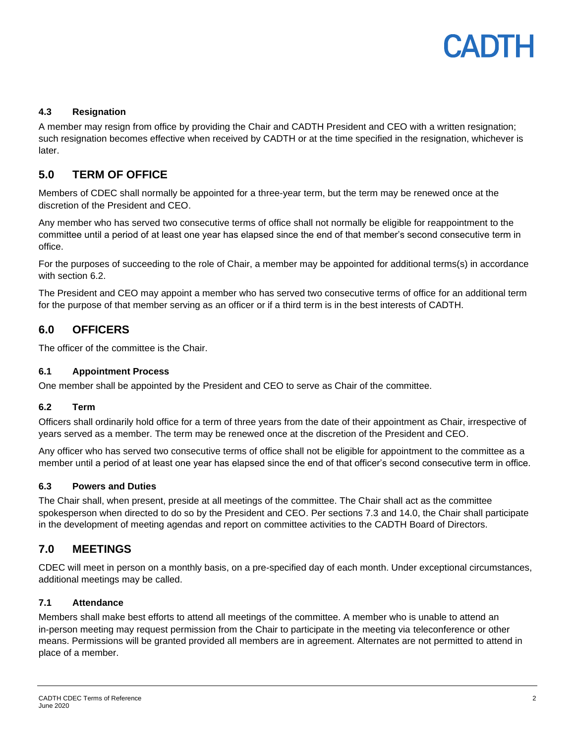#### **4.3 Resignation**

A member may resign from office by providing the Chair and CADTH President and CEO with a written resignation; such resignation becomes effective when received by CADTH or at the time specified in the resignation, whichever is later.

# **5.0 TERM OF OFFICE**

Members of CDEC shall normally be appointed for a three-year term, but the term may be renewed once at the discretion of the President and CEO.

Any member who has served two consecutive terms of office shall not normally be eligible for reappointment to the committee until a period of at least one year has elapsed since the end of that member's second consecutive term in office.

For the purposes of succeeding to the role of Chair, a member may be appointed for additional terms(s) in accordance with section 6.2.

The President and CEO may appoint a member who has served two consecutive terms of office for an additional term for the purpose of that member serving as an officer or if a third term is in the best interests of CADTH.

# **6.0 OFFICERS**

The officer of the committee is the Chair.

#### **6.1 Appointment Process**

One member shall be appointed by the President and CEO to serve as Chair of the committee.

#### **6.2 Term**

Officers shall ordinarily hold office for a term of three years from the date of their appointment as Chair, irrespective of years served as a member. The term may be renewed once at the discretion of the President and CEO.

Any officer who has served two consecutive terms of office shall not be eligible for appointment to the committee as a member until a period of at least one year has elapsed since the end of that officer's second consecutive term in office.

#### **6.3 Powers and Duties**

The Chair shall, when present, preside at all meetings of the committee. The Chair shall act as the committee spokesperson when directed to do so by the President and CEO. Per sections 7.3 and 14.0, the Chair shall participate in the development of meeting agendas and report on committee activities to the CADTH Board of Directors.

# **7.0 MEETINGS**

CDEC will meet in person on a monthly basis, on a pre-specified day of each month. Under exceptional circumstances, additional meetings may be called.

#### **7.1 Attendance**

Members shall make best efforts to attend all meetings of the committee. A member who is unable to attend an in-person meeting may request permission from the Chair to participate in the meeting via teleconference or other means. Permissions will be granted provided all members are in agreement. Alternates are not permitted to attend in place of a member.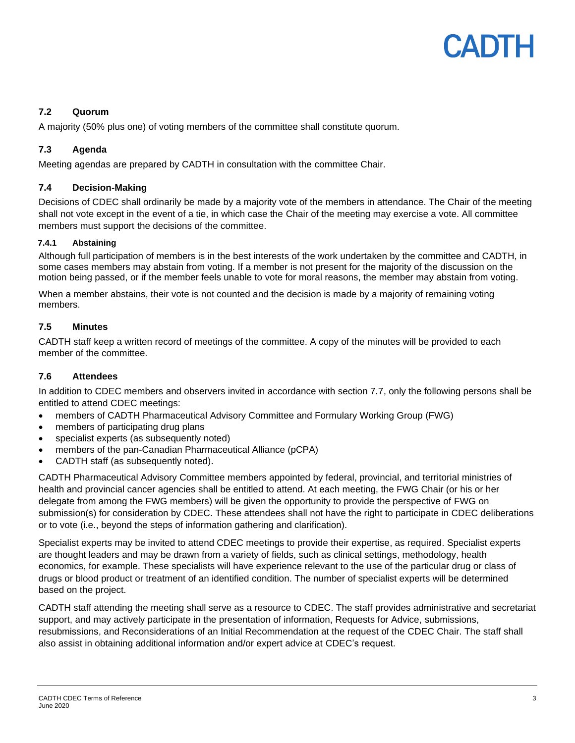# **7.2 Quorum**

A majority (50% plus one) of voting members of the committee shall constitute quorum.

### **7.3 Agenda**

Meeting agendas are prepared by CADTH in consultation with the committee Chair.

#### **7.4 Decision-Making**

Decisions of CDEC shall ordinarily be made by a majority vote of the members in attendance. The Chair of the meeting shall not vote except in the event of a tie, in which case the Chair of the meeting may exercise a vote. All committee members must support the decisions of the committee.

#### **7.4.1 Abstaining**

Although full participation of members is in the best interests of the work undertaken by the committee and CADTH, in some cases members may abstain from voting. If a member is not present for the majority of the discussion on the motion being passed, or if the member feels unable to vote for moral reasons, the member may abstain from voting.

When a member abstains, their vote is not counted and the decision is made by a majority of remaining voting members.

#### **7.5 Minutes**

CADTH staff keep a written record of meetings of the committee. A copy of the minutes will be provided to each member of the committee.

#### **7.6 Attendees**

In addition to CDEC members and observers invited in accordance with section 7.7, only the following persons shall be entitled to attend CDEC meetings:

- members of CADTH Pharmaceutical Advisory Committee and Formulary Working Group (FWG)
- members of participating drug plans
- specialist experts (as subsequently noted)
- members of the pan-Canadian Pharmaceutical Alliance (pCPA)
- CADTH staff (as subsequently noted).

CADTH Pharmaceutical Advisory Committee members appointed by federal, provincial, and territorial ministries of health and provincial cancer agencies shall be entitled to attend. At each meeting, the FWG Chair (or his or her delegate from among the FWG members) will be given the opportunity to provide the perspective of FWG on submission(s) for consideration by CDEC. These attendees shall not have the right to participate in CDEC deliberations or to vote (i.e., beyond the steps of information gathering and clarification).

Specialist experts may be invited to attend CDEC meetings to provide their expertise, as required. Specialist experts are thought leaders and may be drawn from a variety of fields, such as clinical settings, methodology, health economics, for example. These specialists will have experience relevant to the use of the particular drug or class of drugs or blood product or treatment of an identified condition. The number of specialist experts will be determined based on the project.

CADTH staff attending the meeting shall serve as a resource to CDEC. The staff provides administrative and secretariat support, and may actively participate in the presentation of information, Requests for Advice, submissions, resubmissions, and Reconsiderations of an Initial Recommendation at the request of the CDEC Chair. The staff shall also assist in obtaining additional information and/or expert advice at CDEC's request.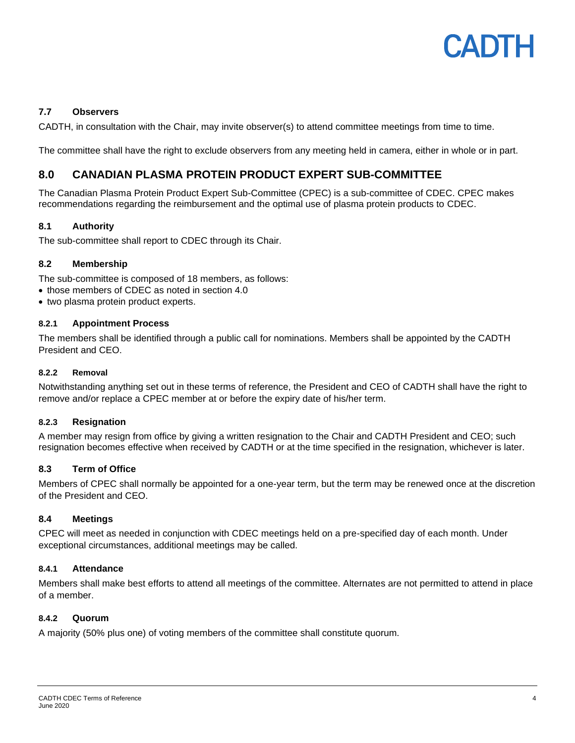

#### **7.7 Observers**

CADTH, in consultation with the Chair, may invite observer(s) to attend committee meetings from time to time.

The committee shall have the right to exclude observers from any meeting held in camera, either in whole or in part.

# **8.0 CANADIAN PLASMA PROTEIN PRODUCT EXPERT SUB-COMMITTEE**

The Canadian Plasma Protein Product Expert Sub-Committee (CPEC) is a sub-committee of CDEC. CPEC makes recommendations regarding the reimbursement and the optimal use of plasma protein products to CDEC.

#### **8.1 Authority**

The sub-committee shall report to CDEC through its Chair.

#### **8.2 Membership**

The sub-committee is composed of 18 members, as follows:

- those members of CDEC as noted in section 4.0
- two plasma protein product experts.

#### **8.2.1 Appointment Process**

The members shall be identified through a public call for nominations. Members shall be appointed by the CADTH President and CEO.

#### **8.2.2 Removal**

Notwithstanding anything set out in these terms of reference, the President and CEO of CADTH shall have the right to remove and/or replace a CPEC member at or before the expiry date of his/her term.

#### **8.2.3 Resignation**

A member may resign from office by giving a written resignation to the Chair and CADTH President and CEO; such resignation becomes effective when received by CADTH or at the time specified in the resignation, whichever is later.

#### **8.3 Term of Office**

Members of CPEC shall normally be appointed for a one-year term, but the term may be renewed once at the discretion of the President and CEO.

#### **8.4 Meetings**

CPEC will meet as needed in conjunction with CDEC meetings held on a pre-specified day of each month. Under exceptional circumstances, additional meetings may be called.

#### **8.4.1 Attendance**

Members shall make best efforts to attend all meetings of the committee. Alternates are not permitted to attend in place of a member.

#### **8.4.2 Quorum**

A majority (50% plus one) of voting members of the committee shall constitute quorum.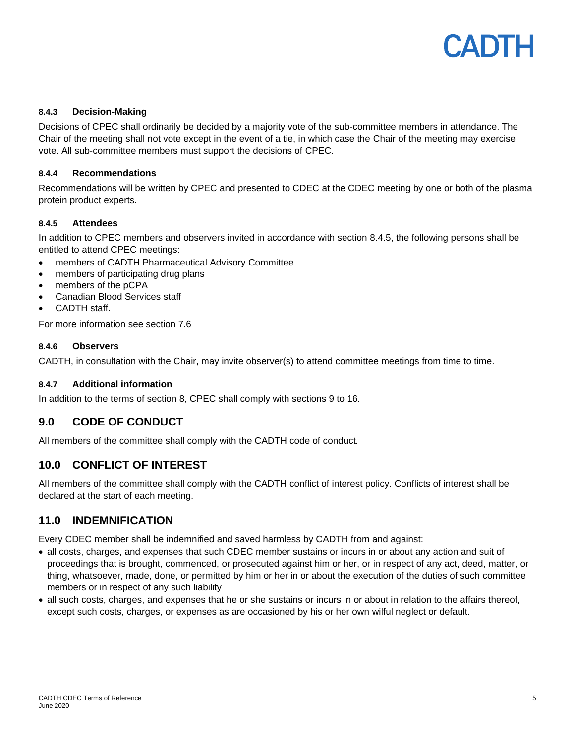

#### **8.4.3 Decision-Making**

Decisions of CPEC shall ordinarily be decided by a majority vote of the sub-committee members in attendance. The Chair of the meeting shall not vote except in the event of a tie, in which case the Chair of the meeting may exercise vote. All sub-committee members must support the decisions of CPEC.

#### **8.4.4 Recommendations**

Recommendations will be written by CPEC and presented to CDEC at the CDEC meeting by one or both of the plasma protein product experts.

#### **8.4.5 Attendees**

In addition to CPEC members and observers invited in accordance with section 8.4.5, the following persons shall be entitled to attend CPEC meetings:

- members of CADTH Pharmaceutical Advisory Committee
- members of participating drug plans
- members of the pCPA
- Canadian Blood Services staff
- CADTH staff.

For more information see section 7.6

#### **8.4.6 Observers**

CADTH, in consultation with the Chair, may invite observer(s) to attend committee meetings from time to time.

#### **8.4.7 Additional information**

In addition to the terms of section 8, CPEC shall comply with sections 9 to 16.

# **9.0 CODE OF CONDUCT**

All members of the committee shall comply with the CADTH code of conduct*.*

# **10.0 CONFLICT OF INTEREST**

All members of the committee shall comply with the CADTH conflict of interest policy. Conflicts of interest shall be declared at the start of each meeting.

# **11.0 INDEMNIFICATION**

Every CDEC member shall be indemnified and saved harmless by CADTH from and against:

- all costs, charges, and expenses that such CDEC member sustains or incurs in or about any action and suit of proceedings that is brought, commenced, or prosecuted against him or her, or in respect of any act, deed, matter, or thing, whatsoever, made, done, or permitted by him or her in or about the execution of the duties of such committee members or in respect of any such liability
- all such costs, charges, and expenses that he or she sustains or incurs in or about in relation to the affairs thereof, except such costs, charges, or expenses as are occasioned by his or her own wilful neglect or default.